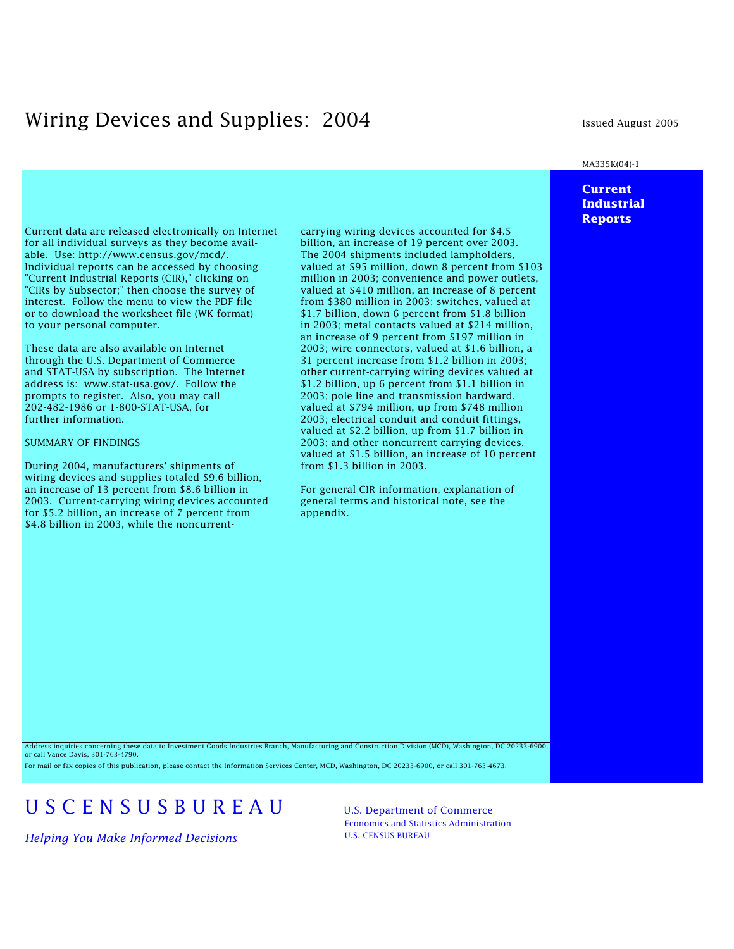# Wiring Devices and Supplies: 2004 Issued August 2005

### MA335K(04)-1

# **Current Industrial Reports**

Current data are released electronically on Internet carrying wiring devices accounted for \$4.5 for all individual surveys as they become avail- billion, an increase of 19 percent over 2003. able. Use: http://www.census.gov/mcd/. The 2004 shipments included lampholders, Individual reports can be accessed by choosing valued at \$95 million, down 8 percent from \$103 "Current Industrial Reports (CIR)," clicking on million in 2003; convenience and power outlets, "CIRs by Subsector;" then choose the survey of valued at \$410 million, an increase of 8 percent interest. Follow the menu to view the PDF file from \$380 million in 2003; switches, valued at or to download the worksheet file (WK format)  $$1.7$  billion, down 6 percent from \$1.8 billion to your personal computer. in 2003; metal contacts valued at \$214 million,

prompts to register. Also, you may call 2003; pole line and transmission hardward,<br>202-482-1986 or 1-800-STAT-USA, for valued at \$794 million, up from \$748 million

During 2004, manufacturers' shipments of from \$1.3 billion in 2003. wiring devices and supplies totaled \$9.6 billion, an increase of 13 percent from \$8.6 billion in For general CIR information, explanation of 2003. Current-carrying wiring devices accounted general terms and historical note, see the for \$5.2 billion, an increase of 7 percent from appendix. for  $$5.2$  billion, an increase of  $7$  percent from \$4.8 billion in 2003, while the noncurrent-

\$1.7 billion, down 6 percent from \$1.8 billion an increase of 9 percent from \$197 million in These data are also available on Internet 2003; wire connectors, valued at \$1.6 billion, a through the U.S. Department of Commerce 31-percent increase from \$1.2 billion in 2003; and STAT-USA by subscription. The Internet other current-carrying wiring devices valued at address is: www.stat-usa.gov/. Follow the \$1.2 billion, up 6 percent from \$1.1 billion in address is: www.stat-usa.gov/. Follow the \$1.2 billion, up 6 percent from \$1.1 billion in prompts to register. Also, you may call  $2003$ ; pole line and transmission hardward, 202-482-1986 or 1-800-STAT-USA, for valued at \$794 million, up from \$748 million<br>2003: electrical conduit and conduit fittings 2003; electrical conduit and conduit fittings, valued at \$2.2 billion, up from \$1.7 billion in SUMMARY OF FINDINGS 2003; and other noncurrent-carrying devices, valued at \$1.5 billion, an increase of 10 percent

Address inquiries concerning these data to Investment Goods Industries Branch, Manufacturing and Construction Division (MCD), Washington, DC 20233-6900, or call Vance Davis, 301-763-4790.

For mail or fax copies of this publication, please contact the Information Services Center, MCD, Washington, DC 20233-6900, or call 301-763-4673.

# U S C E N S U S B U R E A U U.S. Department of Commerce

*Helping You Make Informed Decisions* U.S. CENSUS BUREAU

Economics and Statistics Administration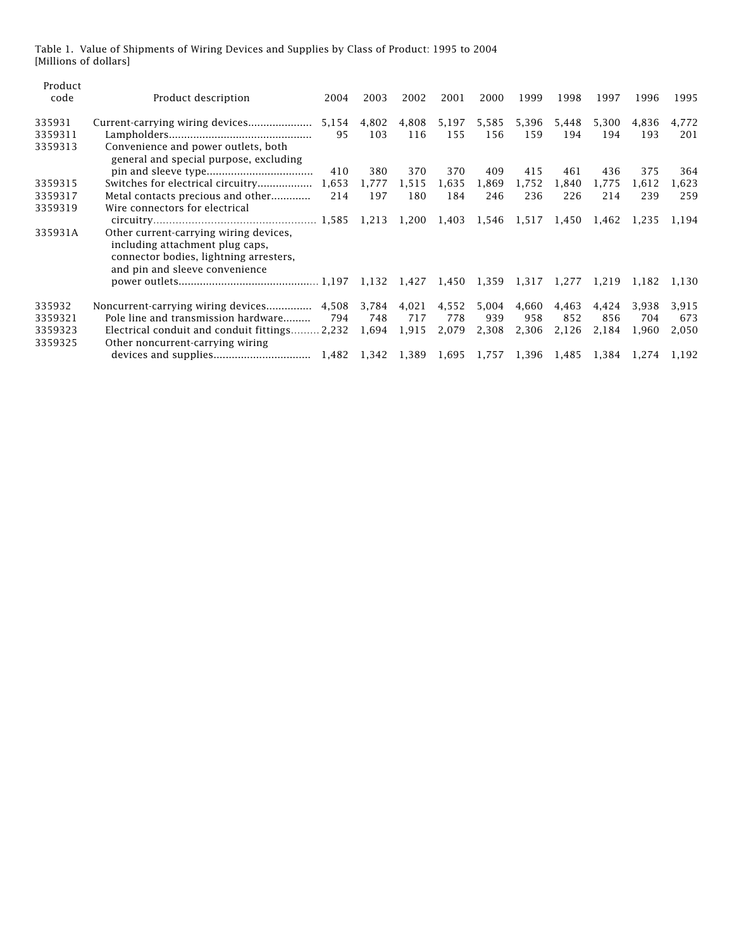Table 1. Value of Shipments of Wiring Devices and Supplies by Class of Product: 1995 to 2004 [Millions of dollars]

| Product<br>code                         | Product description                                                                                                      | 2004                | 2003                | 2002                  | 2001                  | 2000                  | 1999                  | 1998                  | 1997                  | 1996                  | 1995                  |
|-----------------------------------------|--------------------------------------------------------------------------------------------------------------------------|---------------------|---------------------|-----------------------|-----------------------|-----------------------|-----------------------|-----------------------|-----------------------|-----------------------|-----------------------|
| 335931<br>3359311<br>3359313            | Convenience and power outlets, both                                                                                      | 5,154<br>95         | 4,802<br>103        | 4,808<br>116          | 5,197<br>155          | 5,585<br>156          | 5,396<br>159          | 5,448<br>194          | 5,300<br>194          | 4,836<br>193          | 4,772<br>201          |
| 3359315<br>3359317                      | general and special purpose, excluding<br>Switches for electrical circuitry<br>Metal contacts precious and other         | 410<br>1,653<br>214 | 380<br>1.777<br>197 | 370<br>1,515<br>180   | 370<br>1,635<br>184   | 409<br>1,869<br>246   | 415<br>1,752<br>236   | 461<br>1,840<br>226   | 436<br>1,775<br>214   | 375<br>1,612<br>239   | 364<br>1,623<br>259   |
| 3359319<br>335931A                      | Wire connectors for electrical<br>Other current-carrying wiring devices,<br>including attachment plug caps,              |                     |                     |                       |                       | 1,546                 |                       | 1,517 1,450           | 1,462                 | 1,235                 | 1,194                 |
|                                         | connector bodies, lightning arresters,<br>and pin and sleeve convenience                                                 |                     |                     |                       |                       |                       | 1,317 1,277 1,219     |                       |                       | 1,182 1,130           |                       |
| 335932<br>3359321<br>3359323<br>3359325 | Pole line and transmission hardware<br>Electrical conduit and conduit fittings 2,232<br>Other noncurrent-carrying wiring | 794                 | 748<br>1,694        | 4,021<br>717<br>1,915 | 4,552<br>778<br>2,079 | 5,004<br>939<br>2,308 | 4,660<br>958<br>2,306 | 4,463<br>852<br>2,126 | 4,424<br>856<br>2,184 | 3,938<br>704<br>1,960 | 3,915<br>673<br>2,050 |
|                                         |                                                                                                                          |                     |                     | 1,389 1,695           |                       | 1,757                 | 1,396                 | 1,485                 | 1.384                 | 1,274 1,192           |                       |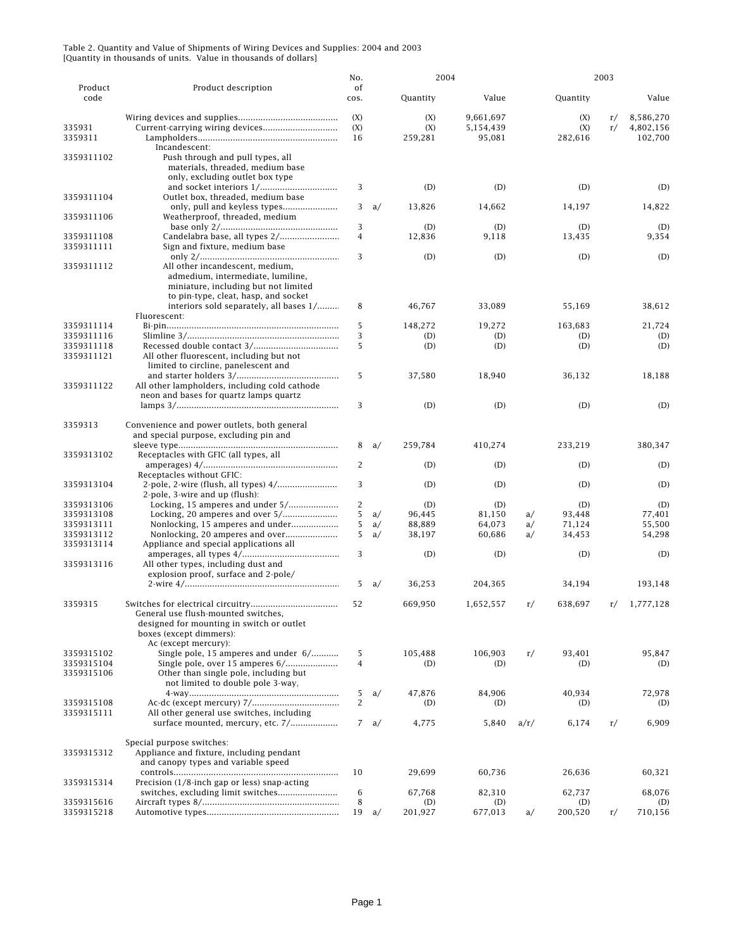|                 |                                                                           | No.            |    | 2004           |                | 2003 |                |    |                |
|-----------------|---------------------------------------------------------------------------|----------------|----|----------------|----------------|------|----------------|----|----------------|
| Product<br>code | Product description                                                       | of<br>cos.     |    | Quantity       | Value          |      | Quantity       |    | Value          |
|                 |                                                                           | (X)            |    | (X)            | 9,661,697      |      | (X)            | r/ | 8,586,270      |
| 335931          |                                                                           | (X)            |    | (X)            | 5,154,439      |      | (X)            | r/ | 4,802,156      |
| 3359311         |                                                                           | 16             |    | 259,281        | 95,081         |      | 282,616        |    | 102,700        |
|                 | Incandescent:                                                             |                |    |                |                |      |                |    |                |
| 3359311102      | Push through and pull types, all                                          |                |    |                |                |      |                |    |                |
|                 | materials, threaded, medium base                                          |                |    |                |                |      |                |    |                |
|                 | only, excluding outlet box type                                           |                |    |                |                |      |                |    |                |
|                 |                                                                           | 3              |    | (D)            | (D)            |      | (D)            |    | (D)            |
| 3359311104      | Outlet box, threaded, medium base                                         |                |    |                |                |      |                |    |                |
|                 |                                                                           | 3              | a/ | 13,826         | 14,662         |      | 14,197         |    | 14,822         |
| 3359311106      | Weatherproof, threaded, medium                                            |                |    |                |                |      |                |    |                |
|                 |                                                                           | 3              |    | (D)            | (D)            |      | (D)            |    | (D)            |
| 3359311108      |                                                                           | $\overline{4}$ |    | 12,836         | 9,118          |      | 13,435         |    | 9,354          |
| 3359311111      | Sign and fixture, medium base                                             |                |    |                |                |      |                |    |                |
|                 |                                                                           | 3              |    | (D)            | (D)            |      | (D)            |    | (D)            |
| 3359311112      | All other incandescent, medium,                                           |                |    |                |                |      |                |    |                |
|                 | admedium, intermediate, lumiline,<br>miniature, including but not limited |                |    |                |                |      |                |    |                |
|                 | to pin-type, cleat, hasp, and socket                                      |                |    |                |                |      |                |    |                |
|                 | interiors sold separately, all bases 1/                                   | 8              |    | 46,767         | 33,089         |      | 55,169         |    | 38,612         |
|                 | Fluorescent:                                                              |                |    |                |                |      |                |    |                |
| 3359311114      |                                                                           | 5              |    | 148,272        | 19.272         |      | 163,683        |    | 21,724         |
| 3359311116      |                                                                           | 3              |    | (D)            | (D)            |      | (D)            |    | (D)            |
| 3359311118      |                                                                           | 5              |    | (D)            | (D)            |      | (D)            |    | (D)            |
| 3359311121      | All other fluorescent, including but not                                  |                |    |                |                |      |                |    |                |
|                 | limited to circline, panelescent and                                      |                |    |                |                |      |                |    |                |
|                 |                                                                           | 5              |    | 37,580         | 18,940         |      | 36,132         |    | 18,188         |
| 3359311122      | All other lampholders, including cold cathode                             |                |    |                |                |      |                |    |                |
|                 | neon and bases for quartz lamps quartz                                    |                |    |                |                |      |                |    |                |
|                 |                                                                           | 3              |    | (D)            | (D)            |      | (D)            |    | (D)            |
|                 |                                                                           |                |    |                |                |      |                |    |                |
| 3359313         | Convenience and power outlets, both general                               |                |    |                |                |      |                |    |                |
|                 | and special purpose, excluding pin and                                    |                |    |                |                |      |                |    |                |
|                 |                                                                           | 8              | a/ | 259,784        | 410,274        |      | 233,219        |    | 380,347        |
| 3359313102      | Receptacles with GFIC (all types, all                                     | 2              |    | (D)            |                |      |                |    |                |
|                 | Receptacles without GFIC:                                                 |                |    |                | (D)            |      | (D)            |    | (D)            |
| 3359313104      |                                                                           | 3              |    | (D)            | (D)            |      | (D)            |    | (D)            |
|                 | 2-pole, 3-wire and up (flush):                                            |                |    |                |                |      |                |    |                |
| 3359313106      | Locking, 15 amperes and under 5/                                          | $\overline{c}$ |    | (D)            | (D)            |      | (D)            |    | (D)            |
| 3359313108      |                                                                           | 5              | a/ | 96,445         | 81,150         | a/   | 93,448         |    | 77,401         |
| 3359313111      | Nonlocking, 15 amperes and under                                          | 5              | a/ | 88,889         | 64,073         | a/   | 71,124         |    | 55,500         |
| 3359313112      |                                                                           | 5              | a/ | 38,197         | 60,686         | a/   | 34,453         |    | 54,298         |
| 3359313114      | Appliance and special applications all                                    |                |    |                |                |      |                |    |                |
|                 |                                                                           | 3              |    | (D)            | (D)            |      | (D)            |    | (D)            |
| 3359313116      | All other types, including dust and                                       |                |    |                |                |      |                |    |                |
|                 | explosion proof, surface and 2-pole/                                      |                |    |                |                |      |                |    |                |
|                 |                                                                           | 5              | a/ | 36,253         | 204,365        |      | 34,194         |    | 193,148        |
|                 |                                                                           |                |    |                |                |      |                |    |                |
| 3359315         |                                                                           | 52             |    | 669.950        | 1,652,557      | r/   | 638,697        | r/ | 1,777,128      |
|                 | General use flush-mounted switches,                                       |                |    |                |                |      |                |    |                |
|                 | designed for mounting in switch or outlet                                 |                |    |                |                |      |                |    |                |
|                 | boxes (except dimmers):                                                   |                |    |                |                |      |                |    |                |
| 3359315102      | Ac (except mercury):<br>Single pole, 15 amperes and under 6/              | 5              |    | 105,488        | 106,903        | r/   | 93,401         |    | 95,847         |
| 3359315104      | Single pole, over 15 amperes 6/                                           | $\overline{4}$ |    | (D)            | (D)            |      | (D)            |    | (D)            |
| 3359315106      | Other than single pole, including but                                     |                |    |                |                |      |                |    |                |
|                 | not limited to double pole 3-way.                                         |                |    |                |                |      |                |    |                |
|                 |                                                                           | 5              | a/ | 47,876         | 84,906         |      | 40,934         |    | 72,978         |
| 3359315108      |                                                                           | $\overline{2}$ |    | (D)            | (D)            |      | (D)            |    | (D)            |
| 3359315111      | All other general use switches, including                                 |                |    |                |                |      |                |    |                |
|                 | surface mounted, mercury, etc. 7/                                         | $7^{\circ}$    | a/ | 4,775          | 5,840          | a/r/ | 6,174          | r/ | 6,909          |
|                 |                                                                           |                |    |                |                |      |                |    |                |
|                 | Special purpose switches:                                                 |                |    |                |                |      |                |    |                |
| 3359315312      | Appliance and fixture, including pendant                                  |                |    |                |                |      |                |    |                |
|                 | and canopy types and variable speed                                       |                |    |                |                |      |                |    |                |
|                 |                                                                           | 10             |    | 29,699         | 60,736         |      | 26,636         |    | 60,321         |
| 3359315314      | Precision (1/8-inch gap or less) snap-acting                              |                |    |                |                |      |                |    |                |
| 3359315616      |                                                                           | $\,6\,$        |    | 67,768         | 82,310         |      | 62,737         |    | 68,076         |
| 3359315218      |                                                                           | 8<br>19        |    | (D)<br>201,927 | (D)<br>677,013 | a/   | (D)<br>200,520 | r/ | (D)<br>710,156 |
|                 |                                                                           |                | a/ |                |                |      |                |    |                |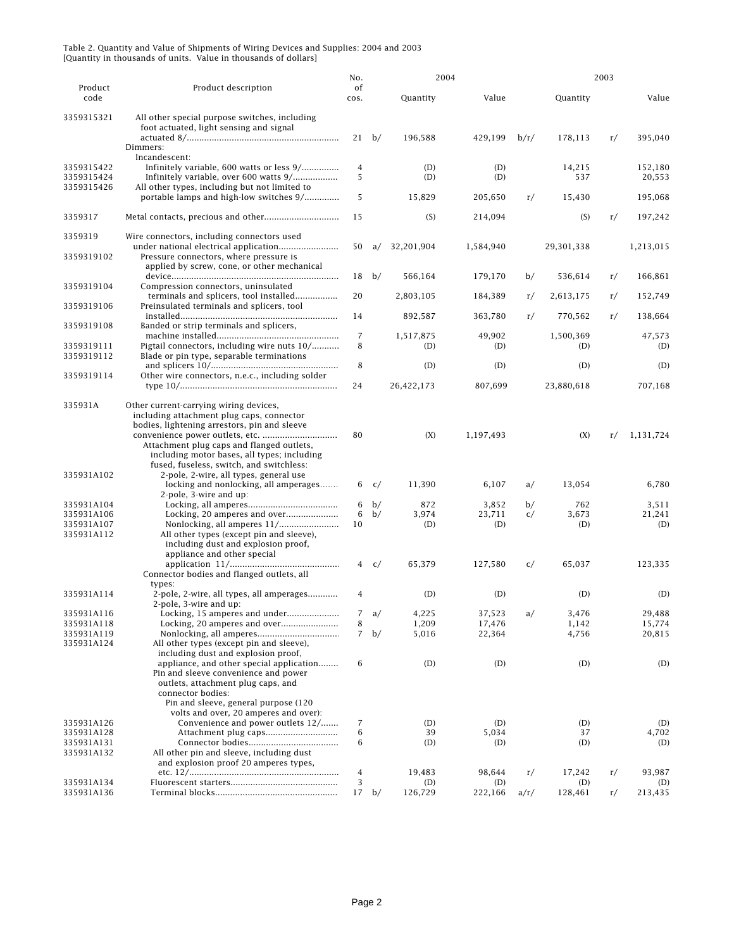|                                        |                                                                                                                                                                                                                              | No.                 |         |                | 2004           |      |                | 2003 |                   |
|----------------------------------------|------------------------------------------------------------------------------------------------------------------------------------------------------------------------------------------------------------------------------|---------------------|---------|----------------|----------------|------|----------------|------|-------------------|
| Product<br>code                        | Product description                                                                                                                                                                                                          | of<br>cos.          |         | Quantity       | Value          |      | Quantity       |      | Value             |
| 3359315321                             | All other special purpose switches, including<br>foot actuated, light sensing and signal                                                                                                                                     |                     |         |                |                |      |                |      |                   |
|                                        | Dimmers:<br>Incandescent:                                                                                                                                                                                                    |                     | $21$ b/ | 196,588        | 429,199        | b/r/ | 178,113        | r/   | 395,040           |
| 3359315422<br>3359315424<br>3359315426 | Infinitely variable, 600 watts or less 9/<br>Infinitely variable, over 600 watts 9/<br>All other types, including but not limited to                                                                                         | $\overline{4}$<br>5 |         | (D)<br>(D)     | (D)<br>(D)     |      | 14,215<br>537  |      | 152,180<br>20,553 |
|                                        | portable lamps and high-low switches 9/                                                                                                                                                                                      | 5                   |         | 15,829         | 205,650        | r/   | 15,430         |      | 195,068           |
| 3359317                                |                                                                                                                                                                                                                              | 15                  |         | (S)            | 214,094        |      | (S)            | r/   | 197,242           |
| 3359319<br>3359319102                  | Wire connectors, including connectors used<br>Pressure connectors, where pressure is                                                                                                                                         | 50                  | a/      | 32,201,904     | 1,584,940      |      | 29,301,338     |      | 1,213,015         |
|                                        | applied by screw, cone, or other mechanical                                                                                                                                                                                  | 18                  | b/      | 566,164        | 179,170        | b/   | 536,614        | r/   | 166,861           |
| 3359319104                             | Compression connectors, uninsulated<br>terminals and splicers, tool installed                                                                                                                                                | 20                  |         | 2,803,105      | 184,389        | r/   | 2,613,175      | r/   | 152,749           |
| 3359319106                             | Preinsulated terminals and splicers, tool                                                                                                                                                                                    | 14                  |         | 892,587        | 363,780        | r/   | 770,562        | r/   | 138,664           |
| 3359319108                             | Banded or strip terminals and splicers,                                                                                                                                                                                      | $\overline{7}$      |         | 1,517,875      | 49,902         |      | 1,500,369      |      | 47,573            |
| 3359319111<br>3359319112               | Pigtail connectors, including wire nuts 10/<br>Blade or pin type, separable terminations                                                                                                                                     | 8                   |         | (D)            | (D)            |      | (D)            |      | (D)               |
| 3359319114                             | Other wire connectors, n.e.c., including solder                                                                                                                                                                              | 8                   |         | (D)            | (D)            |      | (D)            |      | (D)               |
|                                        |                                                                                                                                                                                                                              | 24                  |         | 26,422,173     | 807.699        |      | 23,880,618     |      | 707,168           |
| 335931A                                | Other current-carrying wiring devices,<br>including attachment plug caps, connector<br>bodies, lightening arrestors, pin and sleeve                                                                                          |                     |         |                |                |      |                |      |                   |
|                                        | Attachment plug caps and flanged outlets,<br>including motor bases, all types; including<br>fused, fuseless, switch, and switchless:                                                                                         | 80                  |         | (X)            | 1,197,493      |      | (X)            | r/   | 1,131,724         |
| 335931A102                             | 2-pole, 2-wire, all types, general use<br>locking and nonlocking, all amperages                                                                                                                                              | 6                   | c/      | 11,390         | 6,107          | a/   | 13,054         |      | 6,780             |
| 335931A104                             | 2-pole, 3-wire and up:                                                                                                                                                                                                       | 6                   | b/      | 872            | 3,852          | b/   | 762            |      | 3,511             |
| 335931A106                             |                                                                                                                                                                                                                              | 6                   | b/      | 3,974          | 23,711         | c/   | 3,673          |      | 21,241            |
| 335931A107                             | Nonlocking, all amperes 11/                                                                                                                                                                                                  | 10                  |         | (D)            | (D)            |      | (D)            |      | (D)               |
| 335931A112                             | All other types (except pin and sleeve),<br>including dust and explosion proof,<br>appliance and other special                                                                                                               |                     |         |                |                |      |                |      |                   |
|                                        | Connector bodies and flanged outlets, all                                                                                                                                                                                    | 4                   | c/      | 65,379         | 127,580        | c/   | 65,037         |      | 123,335           |
| 335931A114                             | types:<br>2-pole, 2-wire, all types, all amperages<br>2-pole, 3-wire and up:                                                                                                                                                 | 4                   |         | (D)            | (D)            |      | (D)            |      | (D)               |
| 335931A116                             | Locking, 15 amperes and under                                                                                                                                                                                                | $\overline{7}$      | a/      | 4,225          | 37,523         | a/   | 3,476          |      | 29,488            |
| 335931A118                             |                                                                                                                                                                                                                              | 8                   |         | 1,209          | 17,476         |      | 1,142          |      | 15,774            |
| 335931A119                             |                                                                                                                                                                                                                              |                     | $7$ b/  | 5,016          | 22,364         |      | 4,756          |      | 20,815            |
| 335931A124                             | All other types (except pin and sleeve),<br>including dust and explosion proof,                                                                                                                                              |                     |         |                |                |      |                |      |                   |
|                                        | appliance, and other special application<br>Pin and sleeve convenience and power<br>outlets, attachment plug caps, and<br>connector bodies:<br>Pin and sleeve, general purpose (120<br>volts and over, 20 amperes and over): | 6                   |         | (D)            | (D)            |      | (D)            |      | (D)               |
| 335931A126                             | Convenience and power outlets 12/                                                                                                                                                                                            | 7                   |         | (D)            | (D)            |      | (D)            |      | (D)               |
| 335931A128                             |                                                                                                                                                                                                                              | 6                   |         | 39             | 5,034          |      | 37             |      | 4,702             |
| 335931A131                             |                                                                                                                                                                                                                              | 6                   |         | (D)            | (D)            |      | (D)            |      | (D)               |
| 335931A132                             | All other pin and sleeve, including dust<br>and explosion proof 20 amperes types,                                                                                                                                            |                     |         |                |                |      |                |      |                   |
|                                        |                                                                                                                                                                                                                              | $\sqrt{4}$          |         | 19,483         | 98,644         | r/   | 17,242         | r/   | 93,987            |
| 335931A134<br>335931A136               |                                                                                                                                                                                                                              | 3                   | $17$ b/ | (D)<br>126,729 | (D)<br>222,166 | a/r/ | (D)<br>128,461 | r/   | (D)<br>213,435    |
|                                        |                                                                                                                                                                                                                              |                     |         |                |                |      |                |      |                   |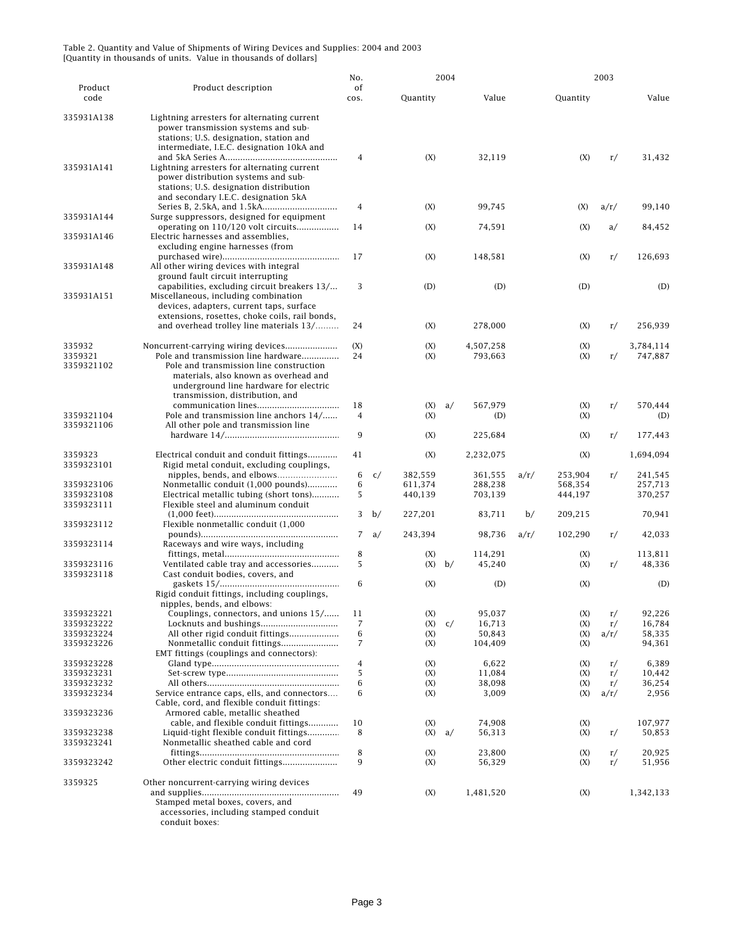|                                        |                                                                                                                                                                                                                                            | No.         |        | 2004                          |    |                               |      | 2003                          |            |                               |
|----------------------------------------|--------------------------------------------------------------------------------------------------------------------------------------------------------------------------------------------------------------------------------------------|-------------|--------|-------------------------------|----|-------------------------------|------|-------------------------------|------------|-------------------------------|
| Product<br>code                        | Product description                                                                                                                                                                                                                        | of<br>cos.  |        | Quantity                      |    | Value                         |      | Quantity                      |            | Value                         |
| 335931A138                             | Lightning arresters for alternating current<br>power transmission systems and sub-<br>stations; U.S. designation, station and<br>intermediate, I.E.C. designation 10kA and                                                                 | 4           |        | (X)                           |    | 32,119                        |      | (X)                           | r/         | 31,432                        |
| 335931A141                             | Lightning arresters for alternating current<br>power distribution systems and sub-<br>stations; U.S. designation distribution<br>and secondary I.E.C. designation 5kA                                                                      |             |        |                               |    |                               |      |                               |            |                               |
| 335931A144                             | Surge suppressors, designed for equipment                                                                                                                                                                                                  | 4           |        | (X)                           |    | 99,745                        |      | (X)                           | a/r/       | 99.140                        |
| 335931A146                             | operating on 110/120 volt circuits<br>Electric harnesses and assemblies,<br>excluding engine harnesses (from                                                                                                                               | 14<br>17    |        | (X)                           |    | 74,591                        |      | (X)                           | a/         | 84,452<br>126,693             |
| 335931A148                             | All other wiring devices with integral<br>ground fault circuit interrupting                                                                                                                                                                |             |        | (X)                           |    | 148,581                       |      | (X)                           | r/         |                               |
| 335931A151                             | capabilities, excluding circuit breakers 13/<br>Miscellaneous, including combination<br>devices, adapters, current taps, surface<br>extensions, rosettes, choke coils, rail bonds,                                                         | 3           |        | (D)                           |    | (D)                           |      | (D)                           |            | (D)                           |
|                                        | and overhead trolley line materials 13/                                                                                                                                                                                                    | 24          |        | (X)                           |    | 278,000                       |      | (X)                           | r/         | 256,939                       |
| 335932<br>3359321<br>3359321102        | Noncurrent-carrying wiring devices<br>Pole and transmission line hardware<br>Pole and transmission line construction<br>materials, also known as overhead and<br>underground line hardware for electric<br>transmission, distribution, and | (X)<br>24   |        | (X)<br>(X)                    |    | 4,507,258<br>793,663          |      | (X)<br>(X)                    | r/         | 3,784,114<br>747,887          |
| 3359321104                             | Pole and transmission line anchors 14/                                                                                                                                                                                                     | 18<br>4     |        | (X)<br>(X)                    | a/ | 567,979<br>(D)                |      | (X)<br>(X)                    | r/         | 570,444<br>(D)                |
| 3359321106                             | All other pole and transmission line                                                                                                                                                                                                       | 9           |        | (X)                           |    | 225,684                       |      | (X)                           | r/         | 177,443                       |
| 3359323<br>3359323101                  | Electrical conduit and conduit fittings<br>Rigid metal conduit, excluding couplings,                                                                                                                                                       | 41          |        | (X)                           |    | 2,232,075                     |      | (X)                           |            | 1,694,094                     |
| 3359323106<br>3359323108               | Nonmetallic conduit (1,000 pounds)<br>Electrical metallic tubing (short tons)                                                                                                                                                              | 6<br>6<br>5 | c/     | 382,559<br>611,374<br>440,139 |    | 361,555<br>288,238<br>703,139 | a/r/ | 253,904<br>568,354<br>444,197 | r/         | 241,545<br>257,713<br>370,257 |
| 3359323111<br>3359323112               | Flexible steel and aluminum conduit<br>Flexible nonmetallic conduit (1,000                                                                                                                                                                 | 3           | b/     | 227,201                       |    | 83,711                        | b/   | 209,215                       |            | 70,941                        |
| 3359323114                             | Raceways and wire ways, including                                                                                                                                                                                                          |             | 7 $a/$ | 243,394                       |    | 98,736                        | a/r/ | 102,290                       | r/         | 42,033                        |
| 3359323116                             | Ventilated cable tray and accessories                                                                                                                                                                                                      | 8<br>5      |        | (X)<br>(X)                    | b/ | 114,291<br>45,240             |      | (X)<br>(X)                    | r/         | 113,811<br>48,336             |
| 3359323118                             | Cast conduit bodies, covers, and<br>Rigid conduit fittings, including couplings,<br>nipples, bends, and elbows:                                                                                                                            | 6           |        | (X)                           |    | (D)                           |      | (X)                           |            | (D)                           |
| 3359323221                             | Couplings, connectors, and unions 15/                                                                                                                                                                                                      | 11          |        | (X)                           |    | 95,037                        |      | (X)                           | r/         | 92,226                        |
| 3359323222<br>3359323224<br>3359323226 | All other rigid conduit fittings<br>Nonmetallic conduit fittings                                                                                                                                                                           | 7<br>6<br>7 |        | (X)<br>(X)<br>(X)             | c/ | 16,713<br>50,843<br>104,409   |      | (X)<br>(X)<br>(X)             | r/<br>a/r/ | 16,784<br>58,335<br>94,361    |
| 3359323228                             | EMT fittings (couplings and connectors):                                                                                                                                                                                                   | 4           |        | (X)                           |    | 6,622                         |      | (X)                           | r/         | 6,389                         |
| 3359323231<br>3359323232               |                                                                                                                                                                                                                                            | 5<br>6      |        | (X)<br>(X)                    |    | 11,084<br>38,098              |      | (X)<br>(X)                    | r/         | 10,442<br>36,254              |
| 3359323234                             | Service entrance caps, ells, and connectors<br>Cable, cord, and flexible conduit fittings:                                                                                                                                                 | 6           |        | (X)                           |    | 3,009                         |      | (X)                           | r/<br>a/r/ | 2,956                         |
| 3359323236<br>3359323238               | Armored cable, metallic sheathed<br>cable, and flexible conduit fittings<br>Liquid-tight flexible conduit fittings                                                                                                                         | 10<br>8     |        | (X)<br>(X)                    | a/ | 74,908<br>56,313              |      | (X)<br>(X)                    | r/         | 107,977<br>50,853             |
| 3359323241                             | Nonmetallic sheathed cable and cord                                                                                                                                                                                                        | 8           |        | (X)                           |    | 23,800                        |      | (X)                           | r/         | 20,925                        |
| 3359323242                             | Other electric conduit fittings                                                                                                                                                                                                            | 9           |        | (X)                           |    | 56,329                        |      | (X)                           | r/         | 51,956                        |
| 3359325                                | Other noncurrent-carrying wiring devices<br>Stamped metal boxes, covers, and<br>accessories, including stamped conduit<br>conduit boxes:                                                                                                   | 49          |        | (X)                           |    | 1,481,520                     |      | (X)                           |            | 1,342,133                     |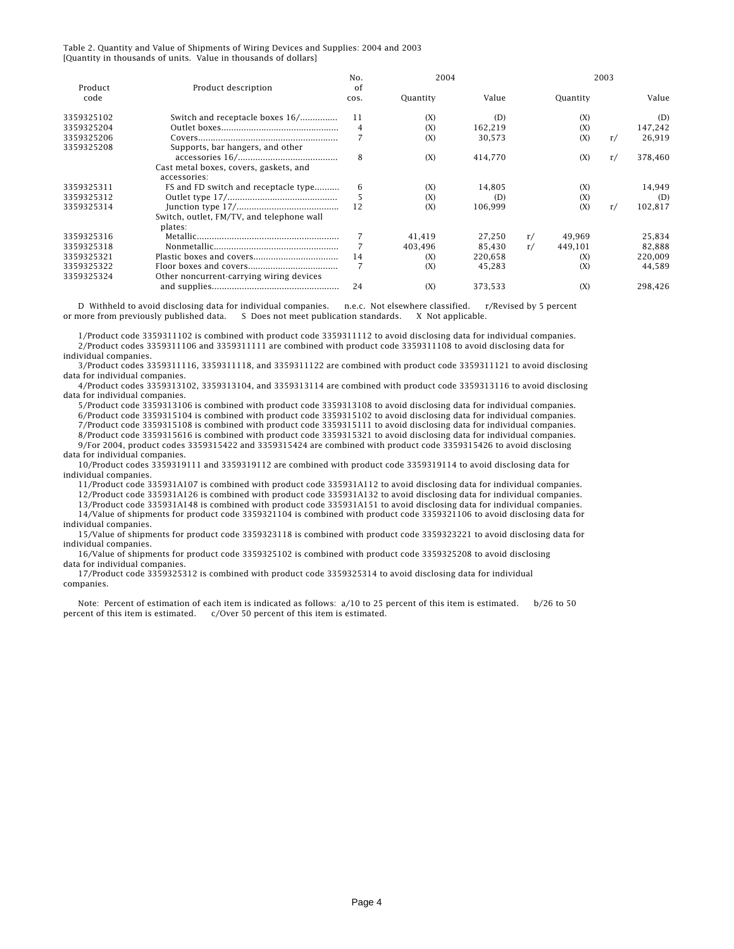|                 |                                           | No.        | 2004     |         |    |          | 2003 |         |
|-----------------|-------------------------------------------|------------|----------|---------|----|----------|------|---------|
| Product<br>code | Product description                       | οf<br>COS. | Quantity | Value   |    | Quantity |      | Value   |
|                 |                                           |            |          |         |    |          |      |         |
| 3359325102      | Switch and receptacle boxes 16/           | 11         | (X)      | (D)     |    | (X)      |      | (D)     |
| 3359325204      |                                           | 4          | (X)      | 162,219 |    | (X)      |      | 147,242 |
| 3359325206      |                                           |            | (X)      | 30.573  |    | (X)      | r/   | 26,919  |
| 3359325208      | Supports, bar hangers, and other          |            |          |         |    |          |      |         |
|                 |                                           | 8          | (X)      | 414,770 |    | (X)      | r/   | 378,460 |
|                 | Cast metal boxes, covers, gaskets, and    |            |          |         |    |          |      |         |
|                 | accessories:                              |            |          |         |    |          |      |         |
| 3359325311      | FS and FD switch and receptacle type      | 6          | (X)      | 14.805  |    | (X)      |      | 14.949  |
| 3359325312      |                                           | 5          | (X)      | (D)     |    | (X)      |      | (D)     |
| 3359325314      |                                           | 12         | (X)      | 106,999 |    | (X)      | r/   | 102,817 |
|                 | Switch, outlet, FM/TV, and telephone wall |            |          |         |    |          |      |         |
|                 | plates:                                   |            |          |         |    |          |      |         |
| 3359325316      |                                           |            | 41,419   | 27,250  | r/ | 49,969   |      | 25,834  |
| 3359325318      |                                           |            | 403,496  | 85,430  | r/ | 449,101  |      | 82,888  |
| 3359325321      |                                           | 14         | (X)      | 220,658 |    | (X)      |      | 220,009 |
| 3359325322      |                                           | 7          | (X)      | 45.283  |    | (X)      |      | 44.589  |
| 3359325324      | Other noncurrent-carrying wiring devices  |            |          |         |    |          |      |         |
|                 |                                           | 24         | (X)      | 373,533 |    | (X)      |      | 298.426 |

 D Withheld to avoid disclosing data for individual companies. n.e.c. Not elsewhere classified. r/Revised by 5 percent or more from previously published data. S Does not meet publication standards. X Not applicable.

 1/Product code 3359311102 is combined with product code 3359311112 to avoid disclosing data for individual companies. 2/Product codes 3359311106 and 3359311111 are combined with product code 3359311108 to avoid disclosing data for individual companies.

 3/Product codes 3359311116, 3359311118, and 3359311122 are combined with product code 3359311121 to avoid disclosing data for individual companies.

 4/Product codes 3359313102, 3359313104, and 3359313114 are combined with product code 3359313116 to avoid disclosing data for individual companies.

5/Product code 3359313106 is combined with product code 3359313108 to avoid disclosing data for individual companies.

6/Product code 3359315104 is combined with product code 3359315102 to avoid disclosing data for individual companies.

7/Product code 3359315108 is combined with product code 3359315111 to avoid disclosing data for individual companies.

 8/Product code 3359315616 is combined with product code 3359315321 to avoid disclosing data for individual companies. 9/For 2004, product codes 3359315422 and 3359315424 are combined with product code 3359315426 to avoid disclosing data for individual companies.

 10/Product codes 3359319111 and 3359319112 are combined with product code 3359319114 to avoid disclosing data for individual companies.

11/Product code 335931A107 is combined with product code 335931A112 to avoid disclosing data for individual companies.

12/Product code 335931A126 is combined with product code 335931A132 to avoid disclosing data for individual companies.

 13/Product code 335931A148 is combined with product code 335931A151 to avoid disclosing data for individual companies. 14/Value of shipments for product code 3359321104 is combined with product code 3359321106 to avoid disclosing data for individual companies.

 15/Value of shipments for product code 3359323118 is combined with product code 3359323221 to avoid disclosing data for individual companies.

 16/Value of shipments for product code 3359325102 is combined with product code 3359325208 to avoid disclosing data for individual companies.

 17/Product code 3359325312 is combined with product code 3359325314 to avoid disclosing data for individual companies.

 Note: Percent of estimation of each item is indicated as follows: a/10 to 25 percent of this item is estimated. b/26 to 50 percent of this item is estimated. c/Over 50 percent of this item is estimated.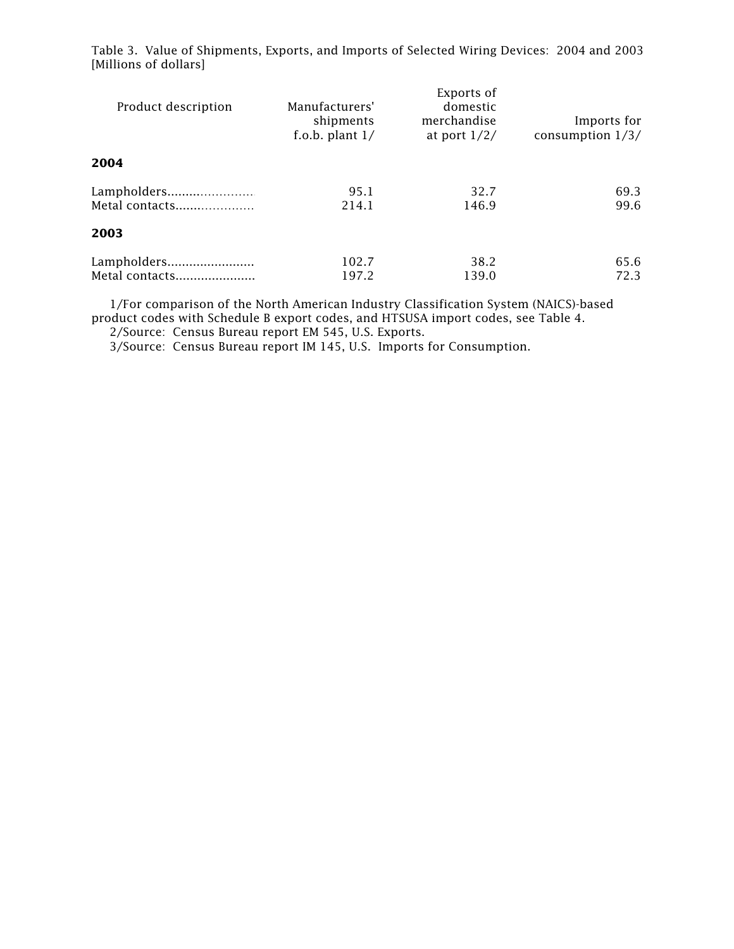| Product description           | Manufacturers'<br>shipments<br>f.o.b. plant $1/$ | Exports of<br>domestic<br>merchandise<br>at port $1/2/$ | Imports for<br>consumption $1/3/$ |
|-------------------------------|--------------------------------------------------|---------------------------------------------------------|-----------------------------------|
| 2004                          |                                                  |                                                         |                                   |
| Lampholders<br>Metal contacts | 95.1<br>214.1                                    | 32.7<br>146.9                                           | 69.3<br>99.6                      |
| 2003                          |                                                  |                                                         |                                   |
| Lampholders<br>Metal contacts | 102.7<br>197.2                                   | 38.2<br>139.0                                           | 65.6<br>72.3                      |

Table 3. Value of Shipments, Exports, and Imports of Selected Wiring Devices: 2004 and 2003 [Millions of dollars]

 1/For comparison of the North American Industry Classification System (NAICS)-based product codes with Schedule B export codes, and HTSUSA import codes, see Table 4.

2/Source: Census Bureau report EM 545, U.S. Exports.

3/Source: Census Bureau report IM 145, U.S. Imports for Consumption.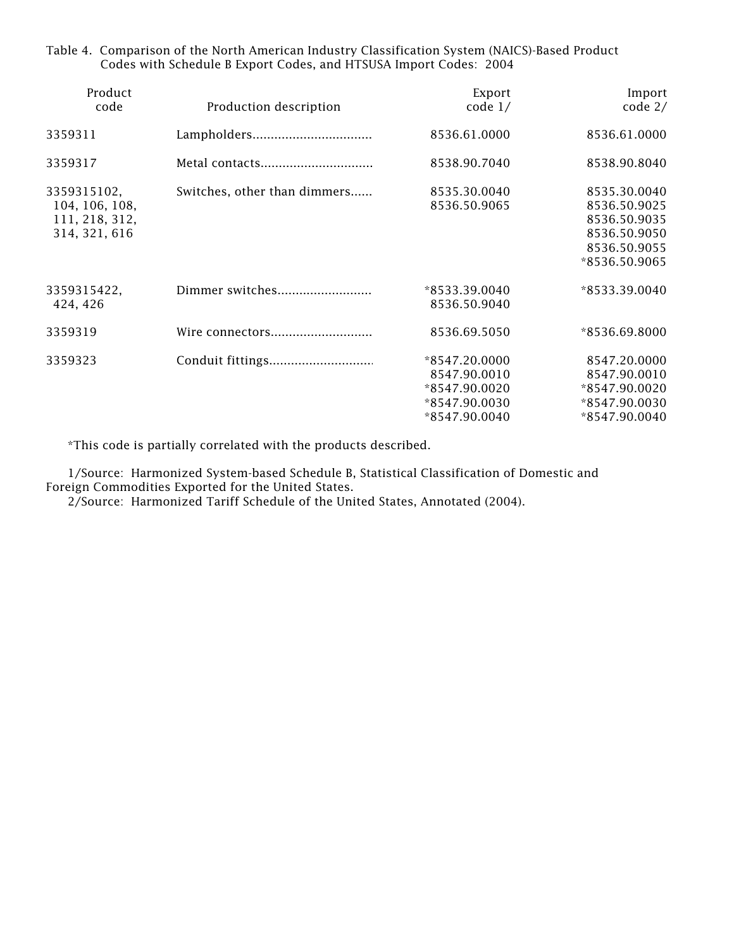| Table 4. Comparison of the North American Industry Classification System (NAICS)-Based Product |
|------------------------------------------------------------------------------------------------|
| Codes with Schedule B Export Codes, and HTSUSA Import Codes: 2004                              |

| Product<br>code                                                  | Production description       | Export<br>code $1/$                                                              | Import<br>$code$ 2/                                                                           |
|------------------------------------------------------------------|------------------------------|----------------------------------------------------------------------------------|-----------------------------------------------------------------------------------------------|
| 3359311                                                          |                              | 8536.61.0000                                                                     | 8536.61.0000                                                                                  |
| 3359317                                                          | Metal contacts               | 8538.90.7040                                                                     | 8538.90.8040                                                                                  |
| 3359315102,<br>104, 106, 108,<br>111, 218, 312,<br>314, 321, 616 | Switches, other than dimmers | 8535.30.0040<br>8536.50.9065                                                     | 8535.30.0040<br>8536.50.9025<br>8536.50.9035<br>8536.50.9050<br>8536.50.9055<br>*8536.50.9065 |
| 3359315422,<br>424, 426                                          | Dimmer switches              | *8533.39.0040<br>8536.50.9040                                                    | *8533.39.0040                                                                                 |
| 3359319                                                          | Wire connectors              | 8536.69.5050                                                                     | *8536.69.8000                                                                                 |
| 3359323                                                          |                              | *8547.20.0000<br>8547.90.0010<br>*8547.90.0020<br>*8547.90.0030<br>*8547.90.0040 | 8547.20.0000<br>8547.90.0010<br>*8547.90.0020<br>*8547.90.0030<br>*8547.90.0040               |

\*This code is partially correlated with the products described.

 1/Source: Harmonized System-based Schedule B, Statistical Classification of Domestic and Foreign Commodities Exported for the United States.

2/Source: Harmonized Tariff Schedule of the United States, Annotated (2004).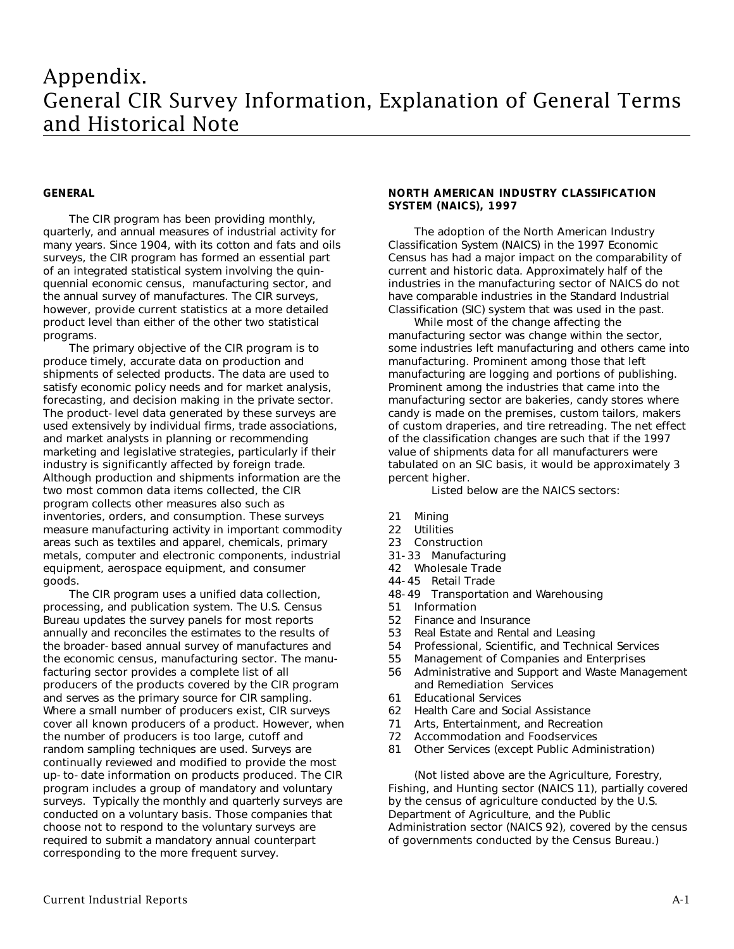# Appendix. General CIR Survey Information, Explanation of General Terms and Historical Note

## **GENERAL**

The CIR program has been providing monthly, quarterly, and annual measures of industrial activity for many years. Since 1904, with its cotton and fats and oils surveys, the CIR program has formed an essential part of an integrated statistical system involving the quinquennial economic census, manufacturing sector, and the annual survey of manufactures. The CIR surveys, however, provide current statistics at a more detailed product level than either of the other two statistical programs.

The primary objective of the CIR program is to produce timely, accurate data on production and shipments of selected products. The data are used to satisfy economic policy needs and for market analysis, forecasting, and decision making in the private sector. The product-level data generated by these surveys are used extensively by individual firms, trade associations, and market analysts in planning or recommending marketing and legislative strategies, particularly if their industry is significantly affected by foreign trade. Although production and shipments information are the two most common data items collected, the CIR program collects other measures also such as inventories, orders, and consumption. These surveys measure manufacturing activity in important commodity areas such as textiles and apparel, chemicals, primary metals, computer and electronic components, industrial equipment, aerospace equipment, and consumer goods.

The CIR program uses a unified data collection, processing, and publication system. The U.S. Census Bureau updates the survey panels for most reports annually and reconciles the estimates to the results of the broader-based annual survey of manufactures and the economic census, manufacturing sector. The manufacturing sector provides a complete list of all producers of the products covered by the CIR program and serves as the primary source for CIR sampling. Where a small number of producers exist, CIR surveys cover all known producers of a product. However, when the number of producers is too large, cutoff and random sampling techniques are used. Surveys are continually reviewed and modified to provide the most up-to-date information on products produced. The CIR program includes a group of mandatory and voluntary surveys. Typically the monthly and quarterly surveys are conducted on a voluntary basis. Those companies that choose not to respond to the voluntary surveys are required to submit a mandatory annual counterpart corresponding to the more frequent survey.

# **NORTH AMERICAN INDUSTRY CLASSIFICATION SYSTEM (NAICS), 1997**

The adoption of the North American Industry Classification System (NAICS) in the 1997 Economic Census has had a major impact on the comparability of current and historic data. Approximately half of the industries in the manufacturing sector of NAICS do not have comparable industries in the Standard Industrial Classification (SIC) system that was used in the past.

While most of the change affecting the manufacturing sector was change within the sector, some industries left manufacturing and others came into manufacturing. Prominent among those that left manufacturing are logging and portions of publishing. Prominent among the industries that came into the manufacturing sector are bakeries, candy stores where candy is made on the premises, custom tailors, makers of custom draperies, and tire retreading. The net effect of the classification changes are such that if the 1997 value of shipments data for all manufacturers were tabulated on an SIC basis, it would be approximately 3 percent higher.

Listed below are the NAICS sectors:

- 21 Mining
- 
- 22 Utilities<br>23 Constru Construction
- 31-33 Manufacturing
- 42 Wholesale Trade
- 44-45 Retail Trade
- 48-49 Transportation and Warehousing<br>51 Information
- 
- 51 Information<br>52 Finance and Finance and Insurance
- 53 Real Estate and Rental and Leasing<br>54 Professional, Scientific, and Techni
- Professional, Scientific, and Technical Services
- 55 Management of Companies and Enterprises<br>56 Administrative and Support and Waste Mana
- Administrative and Support and Waste Management and Remediation Services
- 61 Educational Services
- 62 Health Care and Social Assistance
- 71 Arts, Entertainment, and Recreation<br>72 Accommodation and Foodservices
- 72 Accommodation and Foodservices<br>81 Other Services (except Public Admi
- Other Services (except Public Administration)

(Not listed above are the Agriculture, Forestry, Fishing, and Hunting sector (NAICS 11), partially covered by the census of agriculture conducted by the U.S. Department of Agriculture, and the Public Administration sector (NAICS 92), covered by the census of governments conducted by the Census Bureau.)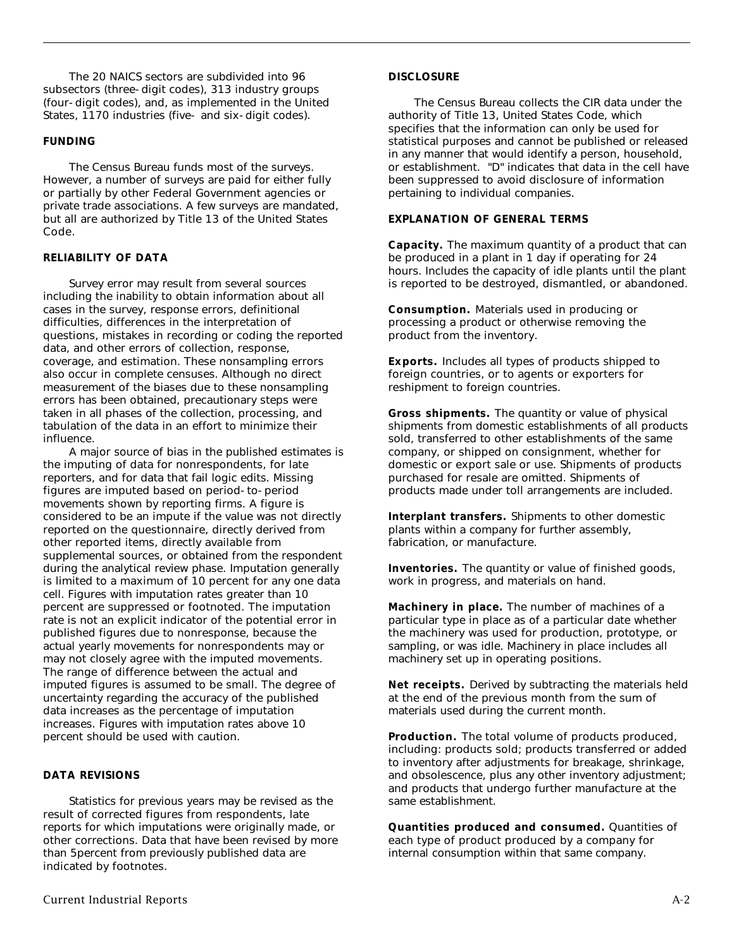The 20 NAICS sectors are subdivided into 96 subsectors (three-digit codes), 313 industry groups (four-digit codes), and, as implemented in the United States, 1170 industries (five- and six-digit codes).

# **FUNDING**

The Census Bureau funds most of the surveys. However, a number of surveys are paid for either fully or partially by other Federal Government agencies or private trade associations. A few surveys are mandated, but all are authorized by Title 13 of the United States Code.

# **RELIABILITY OF DATA**

Survey error may result from several sources including the inability to obtain information about all cases in the survey, response errors, definitional difficulties, differences in the interpretation of questions, mistakes in recording or coding the reported data, and other errors of collection, response, coverage, and estimation. These nonsampling errors also occur in complete censuses. Although no direct measurement of the biases due to these nonsampling errors has been obtained, precautionary steps were taken in all phases of the collection, processing, and tabulation of the data in an effort to minimize their influence.

A major source of bias in the published estimates is the imputing of data for nonrespondents, for late reporters, and for data that fail logic edits. Missing figures are imputed based on period-to-period movements shown by reporting firms. A figure is considered to be an impute if the value was not directly reported on the questionnaire, directly derived from other reported items, directly available from supplemental sources, or obtained from the respondent during the analytical review phase. Imputation generally is limited to a maximum of 10 percent for any one data cell. Figures with imputation rates greater than 10 percent are suppressed or footnoted. The imputation rate is not an explicit indicator of the potential error in published figures due to nonresponse, because the actual yearly movements for nonrespondents may or may not closely agree with the imputed movements. The range of difference between the actual and imputed figures is assumed to be small. The degree of uncertainty regarding the accuracy of the published data increases as the percentage of imputation increases. Figures with imputation rates above 10 percent should be used with caution.

# **DATA REVISIONS**

Statistics for previous years may be revised as the result of corrected figures from respondents, late reports for which imputations were originally made, or other corrections. Data that have been revised by more than 5percent from previously published data are indicated by footnotes.

## **DISCLOSURE**

The Census Bureau collects the CIR data under the authority of Title 13, United States Code, which specifies that the information can only be used for statistical purposes and cannot be published or released in any manner that would identify a person, household, or establishment. "D" indicates that data in the cell have been suppressed to avoid disclosure of information pertaining to individual companies.

# **EXPLANATION OF GENERAL TERMS**

**Capacity.** The maximum quantity of a product that can be produced in a plant in 1 day if operating for 24 hours. Includes the capacity of idle plants until the plant is reported to be destroyed, dismantled, or abandoned.

**Consumption.** Materials used in producing or processing a product or otherwise removing the product from the inventory.

**Exports.** Includes all types of products shipped to foreign countries, or to agents or exporters for reshipment to foreign countries.

**Gross shipments.** The quantity or value of physical shipments from domestic establishments of all products sold, transferred to other establishments of the same company, or shipped on consignment, whether for domestic or export sale or use. Shipments of products purchased for resale are omitted. Shipments of products made under toll arrangements are included.

**Interplant transfers.** Shipments to other domestic plants within a company for further assembly, fabrication, or manufacture.

**Inventories.** The quantity or value of finished goods, work in progress, and materials on hand.

**Machinery in place.** The number of machines of a particular type in place as of a particular date whether the machinery was used for production, prototype, or sampling, or was idle. Machinery in place includes all machinery set up in operating positions.

**Net receipts.** Derived by subtracting the materials held at the end of the previous month from the sum of materials used during the current month.

Production. The total volume of products produced, including: products sold; products transferred or added to inventory after adjustments for breakage, shrinkage, and obsolescence, plus any other inventory adjustment; and products that undergo further manufacture at the same establishment.

**Quantities produced and consumed.** Quantities of each type of product produced by a company for internal consumption within that same company.